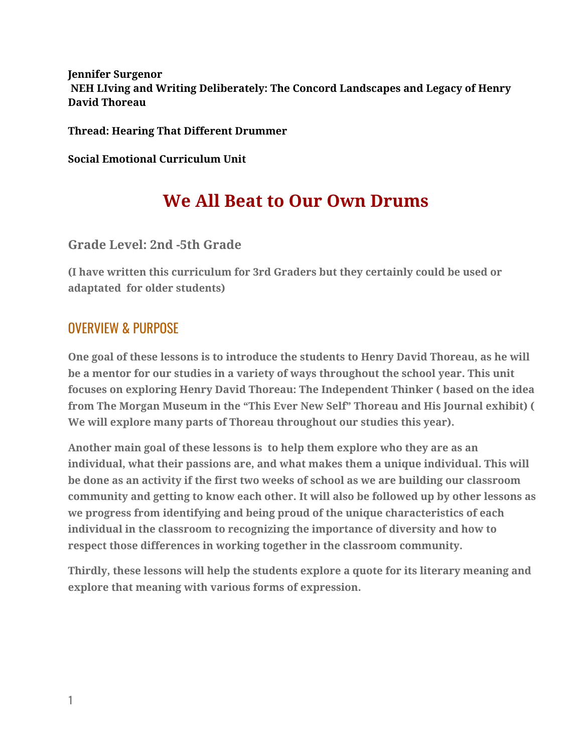#### **Jennifer Surgenor NEH LIving and Writing Deliberately: The Concord Landscapes and Legacy of Henry David Thoreau**

**Thread: Hearing That Different Drummer**

**Social Emotional Curriculum Unit**

# **We All Beat to Our Own Drums**

### **Grade Level: 2nd -5th Grade**

**(I have written this curriculum for 3rd Graders but they certainly could be used or adaptated for older students)**

## OVERVIEW & PURPOSE

**One goal of these lessons is to introduce the students to Henry David Thoreau, as he will be a mentor for our studies in a variety of ways throughout the school year. This unit focuses on exploring Henry David Thoreau: The Independent Thinker ( based on the idea from The Morgan Museum in the "This Ever New Self" Thoreau and His Journal exhibit) ( We will explore many parts of Thoreau throughout our studies this year).**

**Another main goal of these lessons is to help them explore who they are as an individual, what their passions are, and what makes them a unique individual. This will be done as an activity if the first two weeks of school as we are building our classroom community and getting to know each other. It will also be followed up by other lessons as we progress from identifying and being proud of the unique characteristics of each individual in the classroom to recognizing the importance of diversity and how to respect those differences in working together in the classroom community.**

**Thirdly, these lessons will help the students explore a quote for its literary meaning and explore that meaning with various forms of expression.**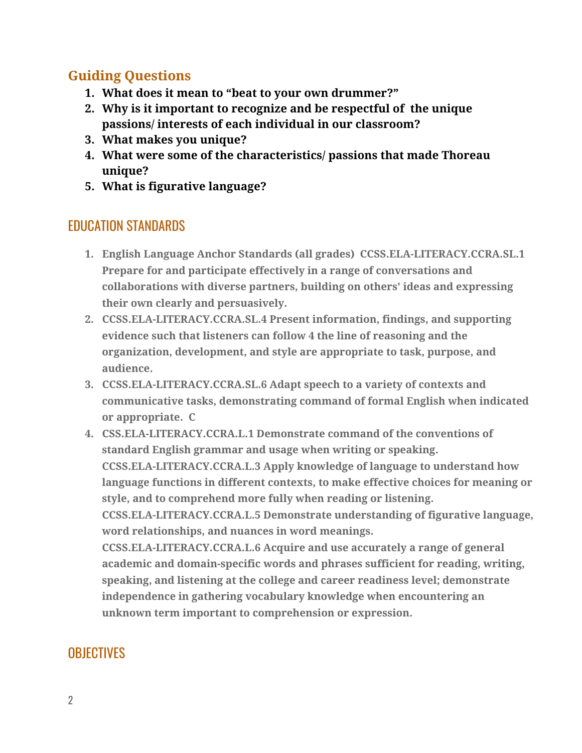## **Guiding Questions**

- **1. What does it mean to "beat to your own drummer?"**
- **2. Why is it important to recognize and be respectful of the unique passions/ interests of each individual in our classroom?**
- **3. What makes you unique?**
- **4. What were some of the characteristics/ passions that made Thoreau unique?**
- **5. What is figurative language?**

## EDUCATION STANDARDS

- **1. English Language Anchor Standards (all grades) CCSS.ELA-LITERACY.CCRA.SL.1 Prepare for and participate effectively in a range of conversations and collaborations with diverse partners, building on others' ideas and expressing their own clearly and persuasively.**
- **2. CCSS.ELA-LITERACY.CCRA.SL.4 Present information, findings, and supporting evidence such that listeners can follow 4 the line of reasoning and the organization, development, and style are appropriate to task, purpose, and audience.**
- **3. CCSS.ELA-LITERACY.CCRA.SL.6 Adapt speech to a variety of contexts and communicative tasks, demonstrating command of formal English when indicated or appropriate. C**
- **4. CSS.ELA-LITERACY.CCRA.L.1 Demonstrate command of the conventions of standard English grammar and usage when writing or speaking. CCSS.ELA-LITERACY.CCRA.L.3 Apply knowledge of language to understand how language functions in different contexts, to make effective choices for meaning or style, and to comprehend more fully when reading or listening. CCSS.ELA-LITERACY.CCRA.L.5 Demonstrate understanding of figurative language, word relationships, and nuances in word meanings. CCSS.ELA-LITERACY.CCRA.L.6 Acquire and use accurately a range of general academic and domain-specific words and phrases sufficient for reading, writing, speaking, and listening at the college and career readiness level; demonstrate independence in gathering vocabulary knowledge when encountering an unknown term important to comprehension or expression.**

## **OBJECTIVES**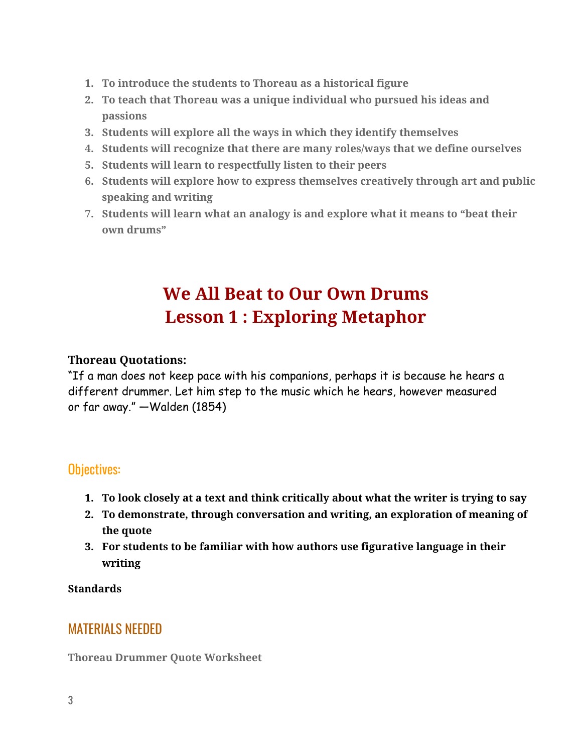- **1. To introduce the students to Thoreau as a historical figure**
- **2. To teach that Thoreau was a unique individual who pursued his ideas and passions**
- **3. Students will explore all the ways in which they identify themselves**
- **4. Students will recognize that there are many roles/ways that we define ourselves**
- **5. Students will learn to respectfully listen to their peers**
- **6. Students will explore how to express themselves creatively through art and public speaking and writing**
- **7. Students will learn what an analogy is and explore what it means to "beat their own drums"**

# **We All Beat to Our Own Drums Lesson 1 : Exploring Metaphor**

#### **Thoreau Quotations:**

"If a man does not keep pace with his companions, perhaps it is because he hears a different drummer. Let him step to the music which he hears, however measured or far away." —Walden (1854)

### Objectives:

- **1. To look closely at a text and think critically about what the writer is trying to say**
- **2. To demonstrate, through conversation and writing, an exploration of meaning of the quote**
- **3. For students to be familiar with how authors use figurative language in their writing**

**Standards**

### MATERIALS NEEDED

**Thoreau Drummer Quote Worksheet**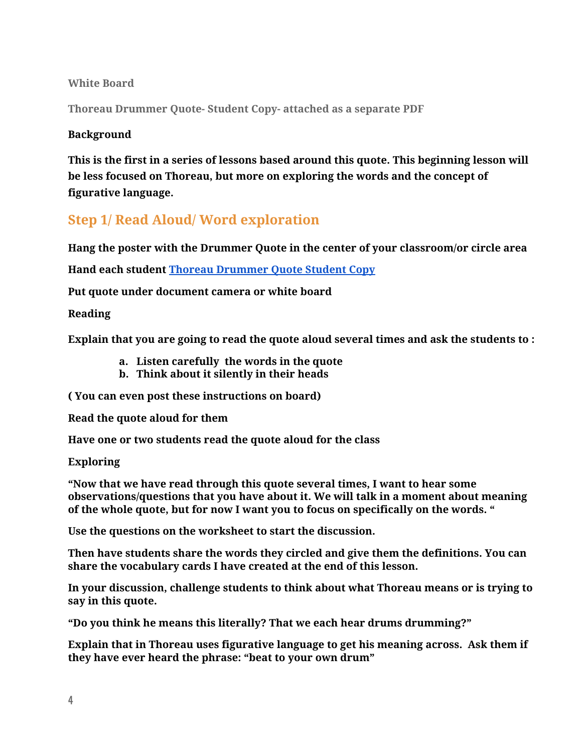#### **White Board**

**Thoreau Drummer Quote- Student Copy- attached as a separate PDF**

#### **Background**

**This is the first in a series of lessons based around this quote. This beginning lesson will be less focused on Thoreau, but more on exploring the words and the concept of figurative language.**

## **Step 1/ Read Aloud/ Word exploration**

**Hang the poster with the Drummer Quote in the center of your classroom/or circle area**

**Hand each student Thoreau [Drummer](https://docs.google.com/document/d/1H-42vBr2faNzEgXOA6b2BCn6qBttJVBsU3KkjrstQek/edit) Quote Student Copy**

**Put quote under document camera or white board**

#### **Reading**

**Explain that you are going to read the quote aloud several times and ask the students to :**

- **a. Listen carefully the words in the quote**
- **b. Think about it silently in their heads**

**( You can even post these instructions on board)**

**Read the quote aloud for them**

**Have one or two students read the quote aloud for the class**

#### **Exploring**

**"Now that we have read through this quote several times, I want to hear some observations/questions that you have about it. We will talk in a moment about meaning of the whole quote, but for now I want you to focus on specifically on the words. "**

**Use the questions on the worksheet to start the discussion.**

**Then have students share the words they circled and give them the definitions. You can share the vocabulary cards I have created at the end of this lesson.**

**In your discussion, challenge students to think about what Thoreau means or is trying to say in this quote.**

**"Do you think he means this literally? That we each hear drums drumming?"**

**Explain that in Thoreau uses figurative language to get his meaning across. Ask them if they have ever heard the phrase: "beat to your own drum"**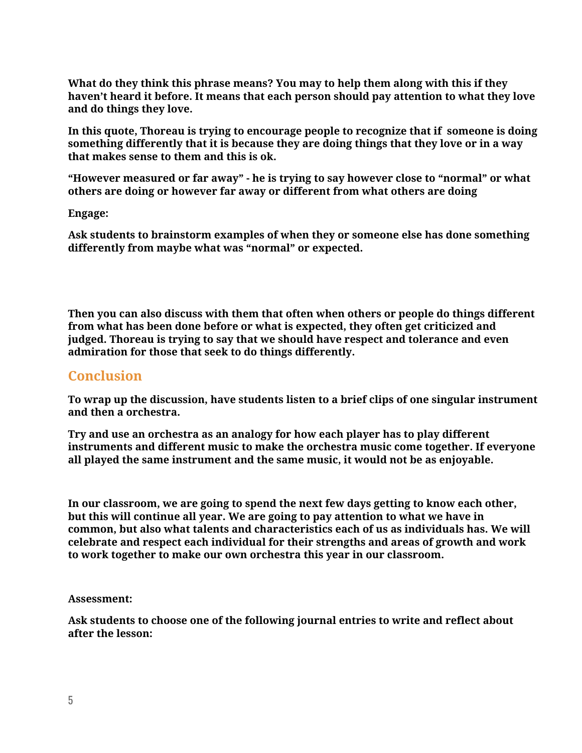**What do they think this phrase means? You may to help them along with this if they haven't heard it before. It means that each person should pay attention to what they love and do things they love.**

**In this quote, Thoreau is trying to encourage people to recognize that if someone is doing something differently that it is because they are doing things that they love or in a way that makes sense to them and this is ok.**

**"However measured or far away" - he is trying to say however close to "normal" or what others are doing or however far away or different from what others are doing**

**Engage:**

**Ask students to brainstorm examples of when they or someone else has done something differently from maybe what was "normal" or expected.**

**Then you can also discuss with them that often when others or people do things different from what has been done before or what is expected, they often get criticized and judged. Thoreau is trying to say that we should have respect and tolerance and even admiration for those that seek to do things differently.**

#### **Conclusion**

**To wrap up the discussion, have students listen to a brief clips of one singular instrument and then a orchestra.**

**Try and use an orchestra as an analogy for how each player has to play different instruments and different music to make the orchestra music come together. If everyone all played the same instrument and the same music, it would not be as enjoyable.**

**In our classroom, we are going to spend the next few days getting to know each other, but this will continue all year. We are going to pay attention to what we have in common, but also what talents and characteristics each of us as individuals has. We will celebrate and respect each individual for their strengths and areas of growth and work to work together to make our own orchestra this year in our classroom.**

**Assessment:**

**Ask students to choose one of the following journal entries to write and reflect about after the lesson:**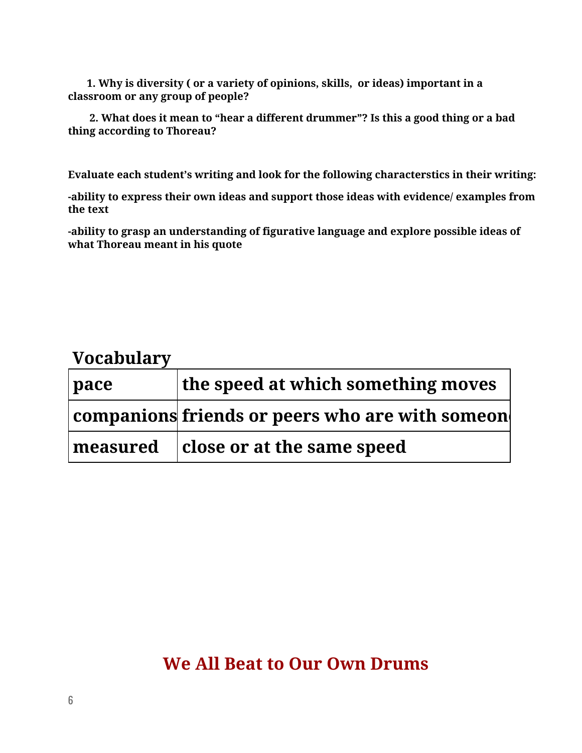**1. Why is diversity ( or a variety of opinions, skills, or ideas) important in a classroom or any group of people?**

**2. What does it mean to "hear a different drummer"? Is this a good thing or a bad thing according to Thoreau?**

**Evaluate each student's writing and look for the following characterstics in their writing:**

**-ability to express their own ideas and support those ideas with evidence/ examples from the text**

**-ability to grasp an understanding of figurative language and explore possible ideas of what Thoreau meant in his quote**

## **Vocabulary**

| $ $ pace        | the speed at which something moves                      |
|-----------------|---------------------------------------------------------|
|                 | $ $ companions friends or peers who are with someon $ $ |
| $\mid$ measured | $ $ close or at the same speed                          |

## **We All Beat to Our Own Drums**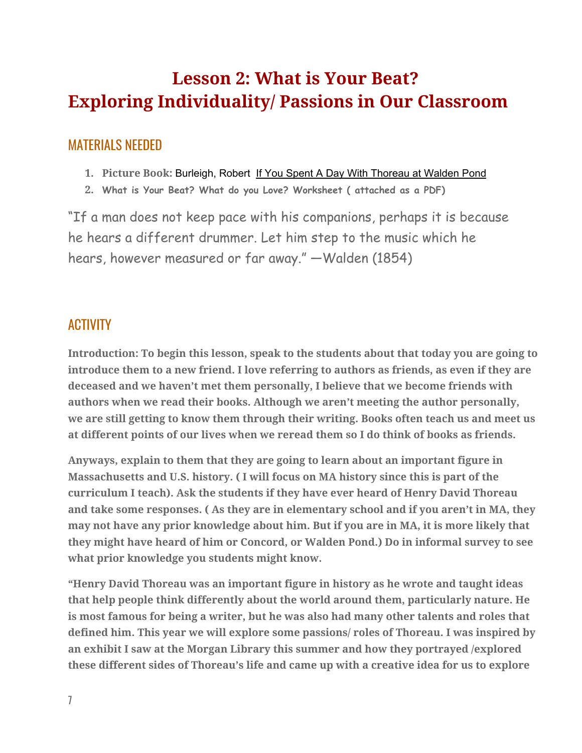# **Lesson 2: What is Your Beat? Exploring Individuality/ Passions in Our Classroom**

## MATERIALS NEEDED

- **1. Picture Book:** Burleigh, Robert If You Spent A Day With Thoreau at Walden Pond
- **2. What is Your Beat? What do you Love? Worksheet ( attached as a PDF)**

"If a man does not keep pace with his companions, perhaps it is because he hears a different drummer. Let him step to the music which he hears, however measured or far away." —Walden (1854)

## **ACTIVITY**

**Introduction: To begin this lesson, speak to the students about that today you are going to introduce them to a new friend. I love referring to authors as friends, as even if they are deceased and we haven't met them personally, I believe that we become friends with authors when we read their books. Although we aren't meeting the author personally, we are still getting to know them through their writing. Books often teach us and meet us at different points of our lives when we reread them so I do think of books as friends.**

**Anyways, explain to them that they are going to learn about an important figure in Massachusetts and U.S. history. ( I will focus on MA history since this is part of the curriculum I teach). Ask the students if they have ever heard of Henry David Thoreau and take some responses. ( As they are in elementary school and if you aren't in MA, they may not have any prior knowledge about him. But if you are in MA, it is more likely that they might have heard of him or Concord, or Walden Pond.) Do in informal survey to see what prior knowledge you students might know.**

**"Henry David Thoreau was an important figure in history as he wrote and taught ideas that help people think differently about the world around them, particularly nature. He is most famous for being a writer, but he was also had many other talents and roles that defined him. This year we will explore some passions/ roles of Thoreau. I was inspired by an exhibit I saw at the Morgan Library this summer and how they portrayed /explored these different sides of Thoreau's life and came up with a creative idea for us to explore**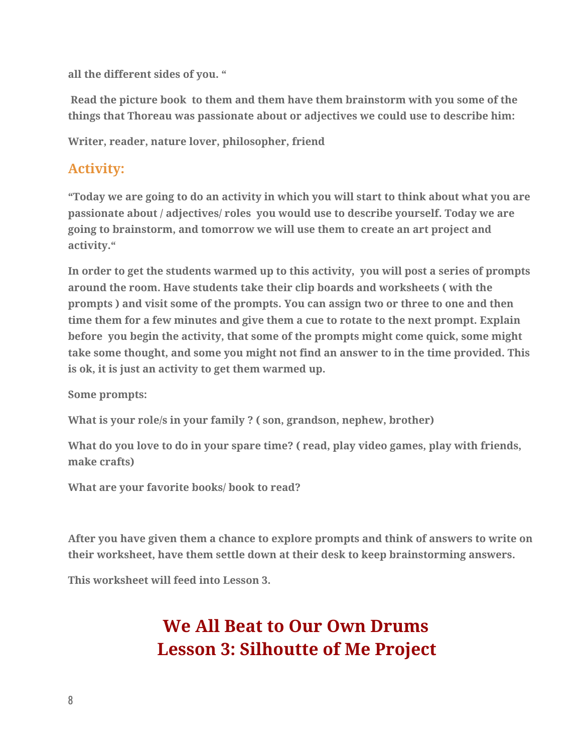**all the different sides of you. "**

**Read the picture book to them and them have them brainstorm with you some of the things that Thoreau was passionate about or adjectives we could use to describe him:**

**Writer, reader, nature lover, philosopher, friend**

## **Activity:**

**"Today we are going to do an activity in which you will start to think about what you are passionate about / adjectives/ roles you would use to describe yourself. Today we are going to brainstorm, and tomorrow we will use them to create an art project and activity."**

**In order to get the students warmed up to this activity, you will post a series of prompts around the room. Have students take their clip boards and worksheets ( with the prompts ) and visit some of the prompts. You can assign two or three to one and then time them for a few minutes and give them a cue to rotate to the next prompt. Explain before you begin the activity, that some of the prompts might come quick, some might take some thought, and some you might not find an answer to in the time provided. This is ok, it is just an activity to get them warmed up.**

**Some prompts:**

**What is your role/s in your family ? ( son, grandson, nephew, brother)**

**What do you love to do in your spare time? ( read, play video games, play with friends, make crafts)**

**What are your favorite books/ book to read?**

**After you have given them a chance to explore prompts and think of answers to write on their worksheet, have them settle down at their desk to keep brainstorming answers.**

**This worksheet will feed into Lesson 3.**

# **We All Beat to Our Own Drums Lesson 3: Silhoutte of Me Project**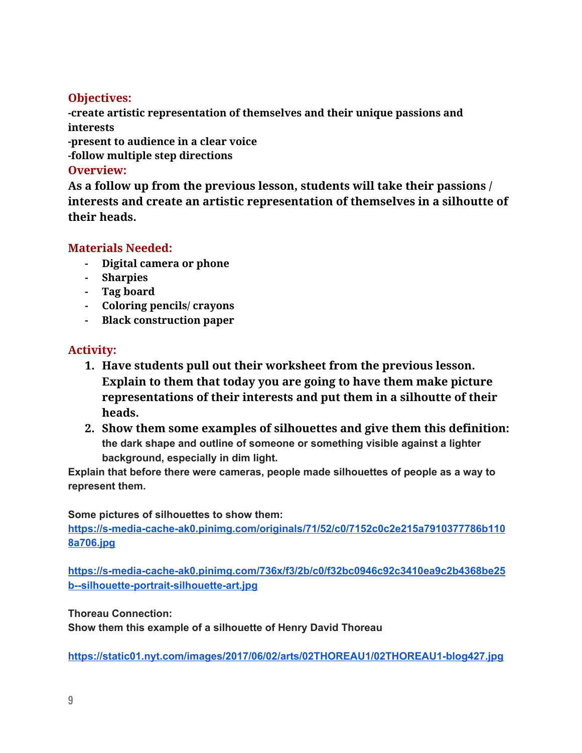### **Objectives:**

**-create artistic representation of themselves and their unique passions and interests**

**-present to audience in a clear voice**

**-follow multiple step directions**

#### **Overview:**

**As a follow up from the previous lesson, students will take their passions / interests and create an artistic representation of themselves in a silhoutte of their heads.**

### **Materials Needed:**

- **- Digital camera or phone**
- **- Sharpies**
- **- Tag board**
- **- Coloring pencils/ crayons**
- **- Black construction paper**

### **Activity:**

- **1. Have students pull out their worksheet from the previous lesson. Explain to them that today you are going to have them make picture representations of their interests and put them in a silhoutte of their heads.**
- **2. Show them some examples of silhouettes and give them this definition: the dark shape and outline of someone or something visible against a lighter background, especially in dim light.**

**Explain that before there were cameras, people made silhouettes of people as a way to represent them.**

**Some pictures of silhouettes to show them:**

**[https://s-media-cache-ak0.pinimg.com/originals/71/52/c0/7152c0c2e215a7910377786b110](https://s-media-cache-ak0.pinimg.com/originals/71/52/c0/7152c0c2e215a7910377786b1108a706.jpg) [8a706.jpg](https://s-media-cache-ak0.pinimg.com/originals/71/52/c0/7152c0c2e215a7910377786b1108a706.jpg)**

**[https://s-media-cache-ak0.pinimg.com/736x/f3/2b/c0/f32bc0946c92c3410ea9c2b4368be25](https://s-media-cache-ak0.pinimg.com/736x/f3/2b/c0/f32bc0946c92c3410ea9c2b4368be25b--silhouette-portrait-silhouette-art.jpg) [b--silhouette-portrait-silhouette-art.jpg](https://s-media-cache-ak0.pinimg.com/736x/f3/2b/c0/f32bc0946c92c3410ea9c2b4368be25b--silhouette-portrait-silhouette-art.jpg)**

#### **Thoreau Connection:**

**Show them this example of a silhouette of Henry David Thoreau**

**<https://static01.nyt.com/images/2017/06/02/arts/02THOREAU1/02THOREAU1-blog427.jpg>**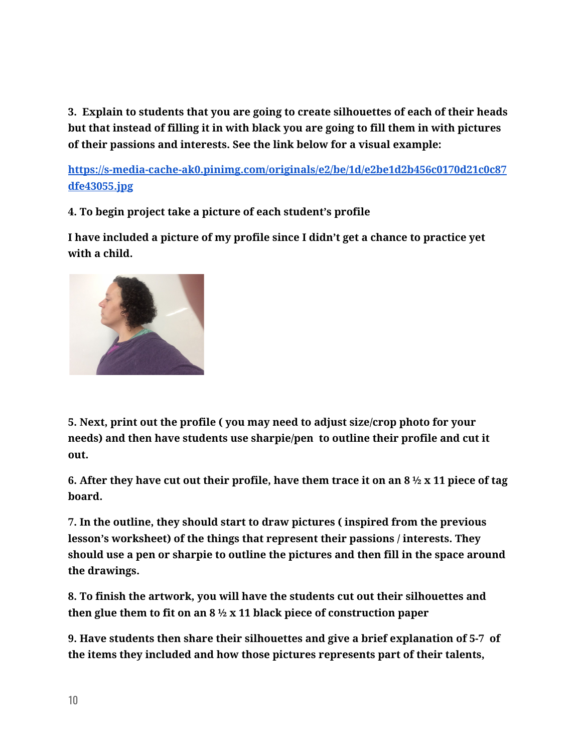**3. Explain to students that you are going to create silhouettes of each of their heads but that instead of filling it in with black you are going to fill them in with pictures of their passions and interests. See the link below for a visual example:**

**[https://s-media-cache-ak0.pinimg.com/originals/e2/be/1d/e2be1d2b456c0170d21c0c87](https://s-media-cache-ak0.pinimg.com/originals/e2/be/1d/e2be1d2b456c0170d21c0c87dfe43055.jpg) [dfe43055.jpg](https://s-media-cache-ak0.pinimg.com/originals/e2/be/1d/e2be1d2b456c0170d21c0c87dfe43055.jpg)**

**4. To begin project take a picture of each student's profile**

**I have included a picture of my profile since I didn't get a chance to practice yet with a child.**



**5. Next, print out the profile ( you may need to adjust size/crop photo for your needs) and then have students use sharpie/pen to outline their profile and cut it out.**

6. After they have cut out their profile, have them trace it on an  $8\frac{1}{2} \times 11$  piece of tag **board.**

**7. In the outline, they should start to draw pictures ( inspired from the previous lesson's worksheet) of the things that represent their passions / interests. They should use a pen or sharpie to outline the pictures and then fill in the space around the drawings.**

**8. To finish the artwork, you will have the students cut out their silhouettes and then glue them to fit on an 8 ½ x 11 black piece of construction paper**

**9. Have students then share their silhouettes and give a brief explanation of 5-7 of the items they included and how those pictures represents part of their talents,**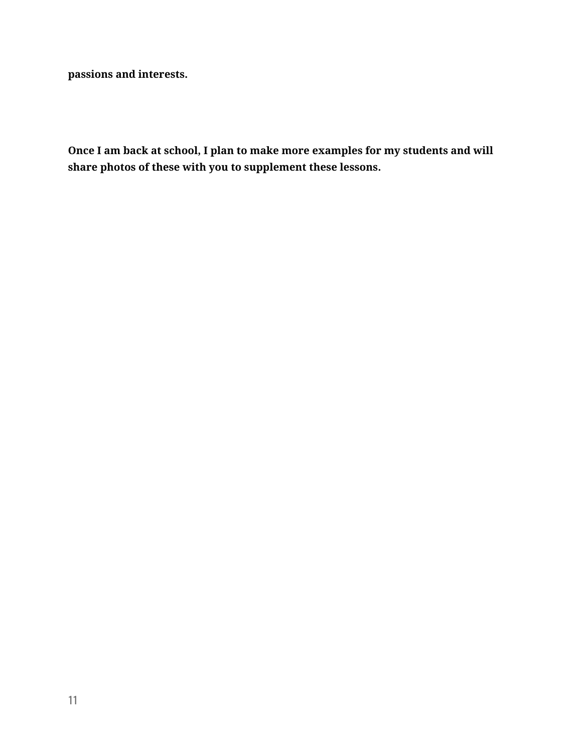**passions and interests.**

**Once I am back at school, I plan to make more examples for my students and will share photos of these with you to supplement these lessons.**